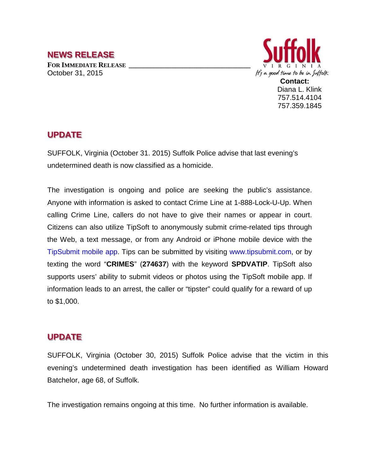## **NEWS RELEASE FOR IMMEDIATE RELEASE \_\_\_\_\_\_\_\_\_\_\_\_\_\_\_\_\_\_\_\_\_\_\_\_\_\_\_\_\_\_\_\_\_\_** October 31, 2015



757.514.4104 757.359.1845

## **UPDATE**

SUFFOLK, Virginia (October 31. 2015) Suffolk Police advise that last evening's undetermined death is now classified as a homicide.

The investigation is ongoing and police are seeking the public's assistance. Anyone with information is asked to contact Crime Line at 1-888-Lock-U-Up. When calling Crime Line, callers do not have to give their names or appear in court. Citizens can also utilize TipSoft to anonymously submit crime-related tips through the Web, a text message, or from any Android or iPhone mobile device with the TipSubmit mobile app. Tips can be submitted by visiting www.tipsubmit.com, or by texting the word "**CRIMES**" (**274637**) with the keyword **SPDVATIP**. TipSoft also supports users' ability to submit videos or photos using the TipSoft mobile app. If information leads to an arrest, the caller or "tipster" could qualify for a reward of up to \$1,000.

## **UPDATE**

SUFFOLK, Virginia (October 30, 2015) Suffolk Police advise that the victim in this evening's undetermined death investigation has been identified as William Howard Batchelor, age 68, of Suffolk.

The investigation remains ongoing at this time. No further information is available.